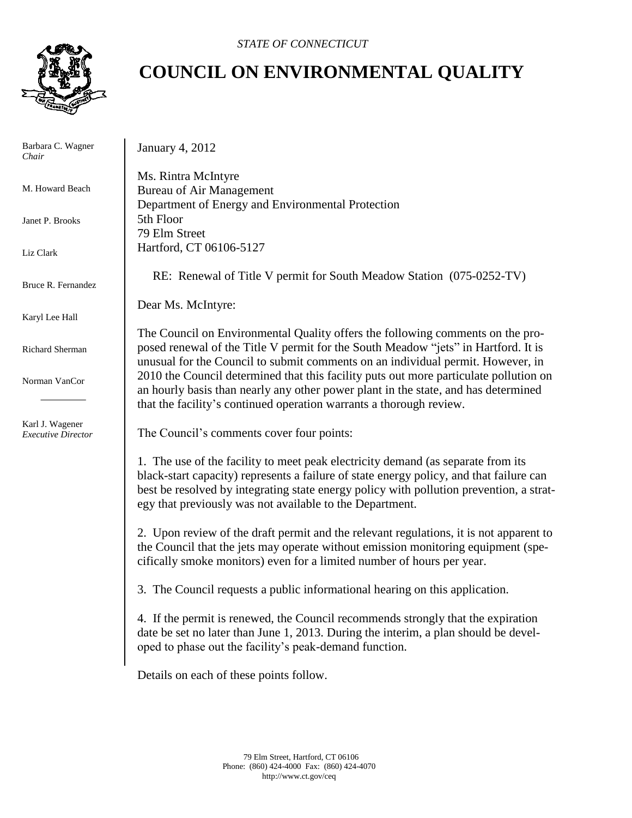**COUNCIL ON ENVIRONMENTAL QUALITY**



Barbara C. Wagner *Chair*

M. Howard Beach

Janet P. Brooks

Liz Clark

Bruce R. Fernandez

Karyl Lee Hall

Richard Sherman

Norman VanCor

Karl J. Wagener *Executive Director* January 4, 2012

Ms. Rintra McIntyre Bureau of Air Management Department of Energy and Environmental Protection 5th Floor 79 Elm Street Hartford, CT 06106-5127

RE: Renewal of Title V permit for South Meadow Station (075-0252-TV)

Dear Ms. McIntyre:

The Council on Environmental Quality offers the following comments on the proposed renewal of the Title V permit for the South Meadow "jets" in Hartford. It is unusual for the Council to submit comments on an individual permit. However, in 2010 the Council determined that this facility puts out more particulate pollution on an hourly basis than nearly any other power plant in the state, and has determined that the facility's continued operation warrants a thorough review.

The Council's comments cover four points:

1. The use of the facility to meet peak electricity demand (as separate from its black-start capacity) represents a failure of state energy policy, and that failure can best be resolved by integrating state energy policy with pollution prevention, a strategy that previously was not available to the Department.

2. Upon review of the draft permit and the relevant regulations, it is not apparent to the Council that the jets may operate without emission monitoring equipment (specifically smoke monitors) even for a limited number of hours per year.

3. The Council requests a public informational hearing on this application.

4. If the permit is renewed, the Council recommends strongly that the expiration date be set no later than June 1, 2013. During the interim, a plan should be developed to phase out the facility's peak-demand function.

Details on each of these points follow.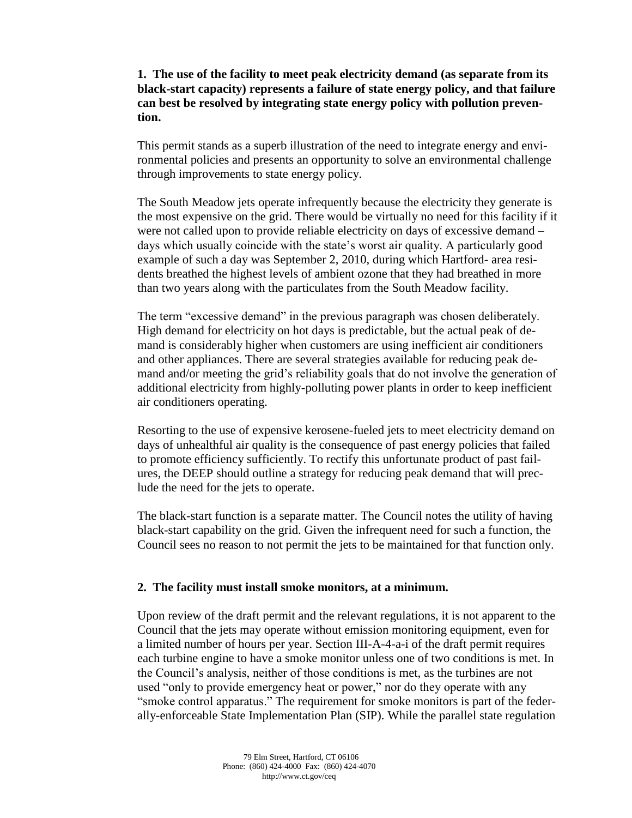**1. The use of the facility to meet peak electricity demand (as separate from its black-start capacity) represents a failure of state energy policy, and that failure can best be resolved by integrating state energy policy with pollution prevention.**

This permit stands as a superb illustration of the need to integrate energy and environmental policies and presents an opportunity to solve an environmental challenge through improvements to state energy policy.

The South Meadow jets operate infrequently because the electricity they generate is the most expensive on the grid. There would be virtually no need for this facility if it were not called upon to provide reliable electricity on days of excessive demand – days which usually coincide with the state's worst air quality. A particularly good example of such a day was September 2, 2010, during which Hartford- area residents breathed the highest levels of ambient ozone that they had breathed in more than two years along with the particulates from the South Meadow facility.

The term "excessive demand" in the previous paragraph was chosen deliberately. High demand for electricity on hot days is predictable, but the actual peak of demand is considerably higher when customers are using inefficient air conditioners and other appliances. There are several strategies available for reducing peak demand and/or meeting the grid's reliability goals that do not involve the generation of additional electricity from highly-polluting power plants in order to keep inefficient air conditioners operating.

Resorting to the use of expensive kerosene-fueled jets to meet electricity demand on days of unhealthful air quality is the consequence of past energy policies that failed to promote efficiency sufficiently. To rectify this unfortunate product of past failures, the DEEP should outline a strategy for reducing peak demand that will preclude the need for the jets to operate.

The black-start function is a separate matter. The Council notes the utility of having black-start capability on the grid. Given the infrequent need for such a function, the Council sees no reason to not permit the jets to be maintained for that function only.

## **2. The facility must install smoke monitors, at a minimum.**

Upon review of the draft permit and the relevant regulations, it is not apparent to the Council that the jets may operate without emission monitoring equipment, even for a limited number of hours per year. Section III-A-4-a-i of the draft permit requires each turbine engine to have a smoke monitor unless one of two conditions is met. In the Council's analysis, neither of those conditions is met, as the turbines are not used "only to provide emergency heat or power," nor do they operate with any "smoke control apparatus." The requirement for smoke monitors is part of the federally-enforceable State Implementation Plan (SIP). While the parallel state regulation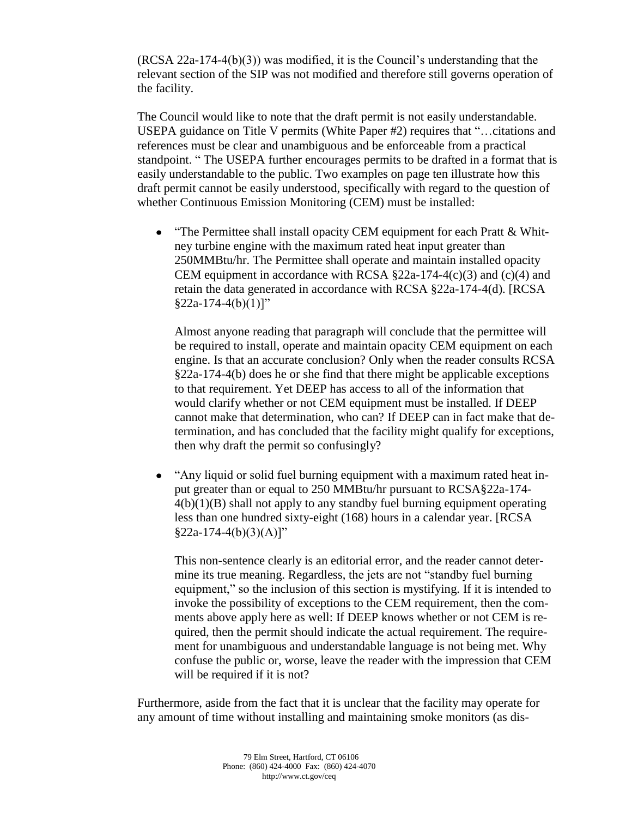(RCSA 22a-174-4(b)(3)) was modified, it is the Council's understanding that the relevant section of the SIP was not modified and therefore still governs operation of the facility.

The Council would like to note that the draft permit is not easily understandable. USEPA guidance on Title V permits (White Paper #2) requires that "…citations and references must be clear and unambiguous and be enforceable from a practical standpoint. " The USEPA further encourages permits to be drafted in a format that is easily understandable to the public. Two examples on page ten illustrate how this draft permit cannot be easily understood, specifically with regard to the question of whether Continuous Emission Monitoring (CEM) must be installed:

 $\bullet$ "The Permittee shall install opacity CEM equipment for each Pratt & Whitney turbine engine with the maximum rated heat input greater than 250MMBtu/hr. The Permittee shall operate and maintain installed opacity CEM equipment in accordance with RCSA  $\S$ 22a-174-4(c)(3) and (c)(4) and retain the data generated in accordance with RCSA §22a-174-4(d). [RCSA  $§22a-174-4(b)(1)]"$ 

Almost anyone reading that paragraph will conclude that the permittee will be required to install, operate and maintain opacity CEM equipment on each engine. Is that an accurate conclusion? Only when the reader consults RCSA §22a-174-4(b) does he or she find that there might be applicable exceptions to that requirement. Yet DEEP has access to all of the information that would clarify whether or not CEM equipment must be installed. If DEEP cannot make that determination, who can? If DEEP can in fact make that determination, and has concluded that the facility might qualify for exceptions, then why draft the permit so confusingly?

 $\bullet$ "Any liquid or solid fuel burning equipment with a maximum rated heat input greater than or equal to 250 MMBtu/hr pursuant to RCSA§22a-174-  $4(b)(1)(B)$  shall not apply to any standby fuel burning equipment operating less than one hundred sixty-eight (168) hours in a calendar year. [RCSA  $§22a-174-4(b)(3)(A)]"$ 

This non-sentence clearly is an editorial error, and the reader cannot determine its true meaning. Regardless, the jets are not "standby fuel burning equipment," so the inclusion of this section is mystifying. If it is intended to invoke the possibility of exceptions to the CEM requirement, then the comments above apply here as well: If DEEP knows whether or not CEM is required, then the permit should indicate the actual requirement. The requirement for unambiguous and understandable language is not being met. Why confuse the public or, worse, leave the reader with the impression that CEM will be required if it is not?

Furthermore, aside from the fact that it is unclear that the facility may operate for any amount of time without installing and maintaining smoke monitors (as dis